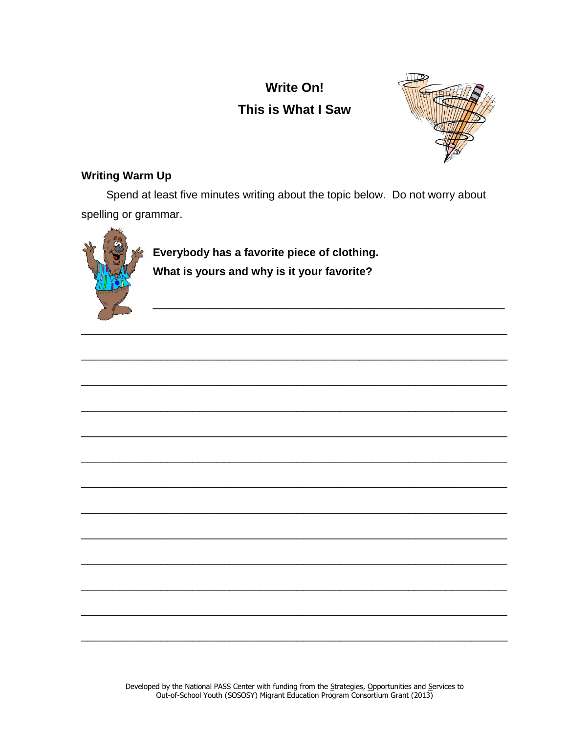# **Write On!** This is What I Saw



# **Writing Warm Up**

Spend at least five minutes writing about the topic below. Do not worry about spelling or grammar.



Everybody has a favorite piece of clothing. What is yours and why is it your favorite?

Developed by the National PASS Center with funding from the Strategies, Opportunities and Services to Out-of-School Youth (SOSOSY) Migrant Education Program Consortium Grant (2013)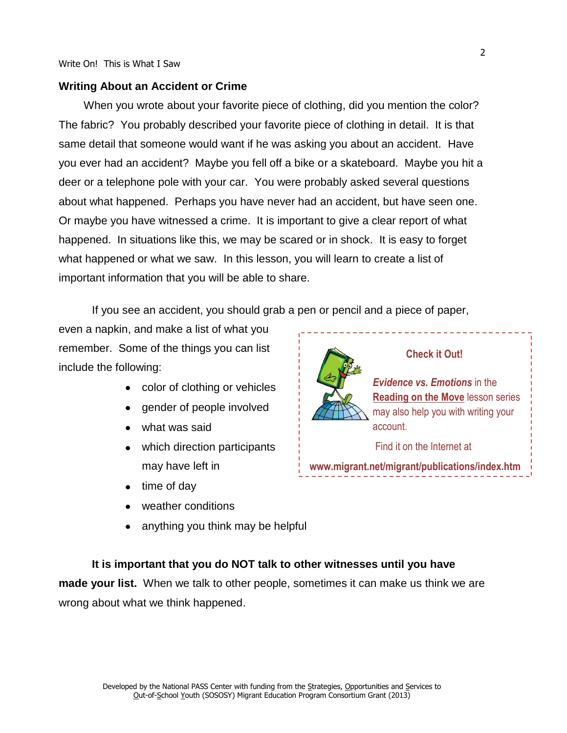#### **Writing About an Accident or Crime**

When you wrote about your favorite piece of clothing, did you mention the color? The fabric? You probably described your favorite piece of clothing in detail. It is that same detail that someone would want if he was asking you about an accident. Have you ever had an accident? Maybe you fell off a bike or a skateboard. Maybe you hit a deer or a telephone pole with your car. You were probably asked several questions about what happened. Perhaps you have never had an accident, but have seen one. Or maybe you have witnessed a crime. It is important to give a clear report of what happened. In situations like this, we may be scared or in shock. It is easy to forget what happened or what we saw. In this lesson, you will learn to create a list of important information that you will be able to share.

If you see an accident, you should grab a pen or pencil and a piece of paper,

even a napkin, and make a list of what you remember. Some of the things you can list include the following:

- color of clothing or vehicles
- **gender of people involved**
- what was said
- which direction participants may have left in
- $\bullet$  time of day
- weather conditions
- anything you think may be helpful



**www.migrant.net/migrant/publications/index.htm**

# **It is important that you do NOT talk to other witnesses until you have made your list.** When we talk to other people, sometimes it can make us think we are wrong about what we think happened.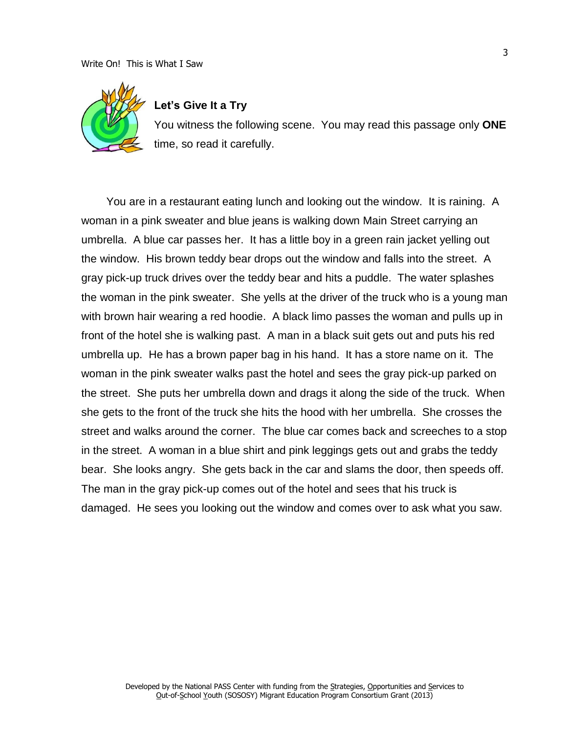#### Write On! This is What I Saw



## **Let's Give It a Try**

You witness the following scene. You may read this passage only **ONE** time, so read it carefully.

You are in a restaurant eating lunch and looking out the window. It is raining. A woman in a pink sweater and blue jeans is walking down Main Street carrying an umbrella. A blue car passes her. It has a little boy in a green rain jacket yelling out the window. His brown teddy bear drops out the window and falls into the street. A gray pick-up truck drives over the teddy bear and hits a puddle. The water splashes the woman in the pink sweater. She yells at the driver of the truck who is a young man with brown hair wearing a red hoodie. A black limo passes the woman and pulls up in front of the hotel she is walking past. A man in a black suit gets out and puts his red umbrella up. He has a brown paper bag in his hand. It has a store name on it. The woman in the pink sweater walks past the hotel and sees the gray pick-up parked on the street. She puts her umbrella down and drags it along the side of the truck. When she gets to the front of the truck she hits the hood with her umbrella. She crosses the street and walks around the corner. The blue car comes back and screeches to a stop in the street. A woman in a blue shirt and pink leggings gets out and grabs the teddy bear. She looks angry. She gets back in the car and slams the door, then speeds off. The man in the gray pick-up comes out of the hotel and sees that his truck is damaged. He sees you looking out the window and comes over to ask what you saw.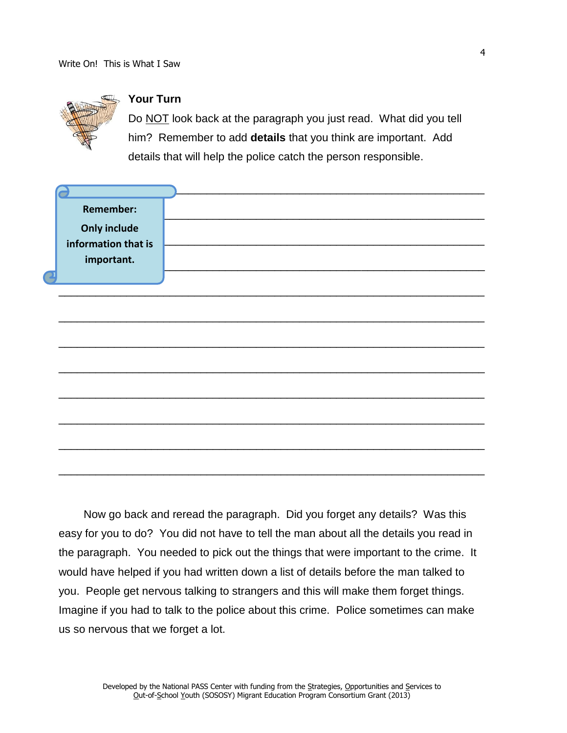

# **Your Turn**

Do NOT look back at the paragraph you just read. What did you tell him? Remember to add **details** that you think are important. Add details that will help the police catch the person responsible.

| <b>Remember:</b>    |  |
|---------------------|--|
|                     |  |
| <b>Only include</b> |  |
| information that is |  |
| important.          |  |
|                     |  |
|                     |  |
|                     |  |
|                     |  |
|                     |  |
|                     |  |
|                     |  |
|                     |  |
|                     |  |
|                     |  |
|                     |  |
|                     |  |
|                     |  |
|                     |  |
|                     |  |

Now go back and reread the paragraph. Did you forget any details? Was this easy for you to do? You did not have to tell the man about all the details you read in the paragraph. You needed to pick out the things that were important to the crime. It would have helped if you had written down a list of details before the man talked to you. People get nervous talking to strangers and this will make them forget things. Imagine if you had to talk to the police about this crime. Police sometimes can make us so nervous that we forget a lot.

4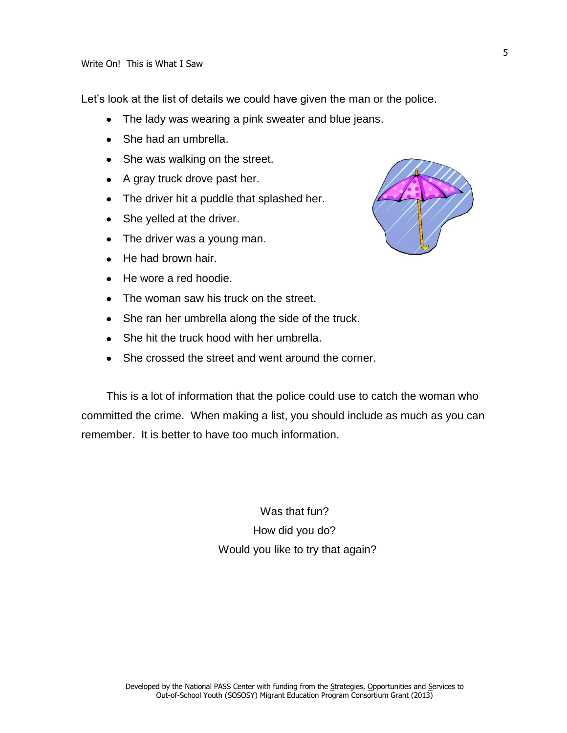Let's look at the list of details we could have given the man or the police.

- The lady was wearing a pink sweater and blue jeans.
- She had an umbrella.
- She was walking on the street.
- A gray truck drove past her.
- The driver hit a puddle that splashed her.
- She yelled at the driver.
- The driver was a young man.
- He had brown hair.
- He wore a red hoodie.
- The woman saw his truck on the street.
- She ran her umbrella along the side of the truck.
- She hit the truck hood with her umbrella.
- She crossed the street and went around the corner.

This is a lot of information that the police could use to catch the woman who committed the crime. When making a list, you should include as much as you can remember. It is better to have too much information.

> Was that fun? How did you do? Would you like to try that again?

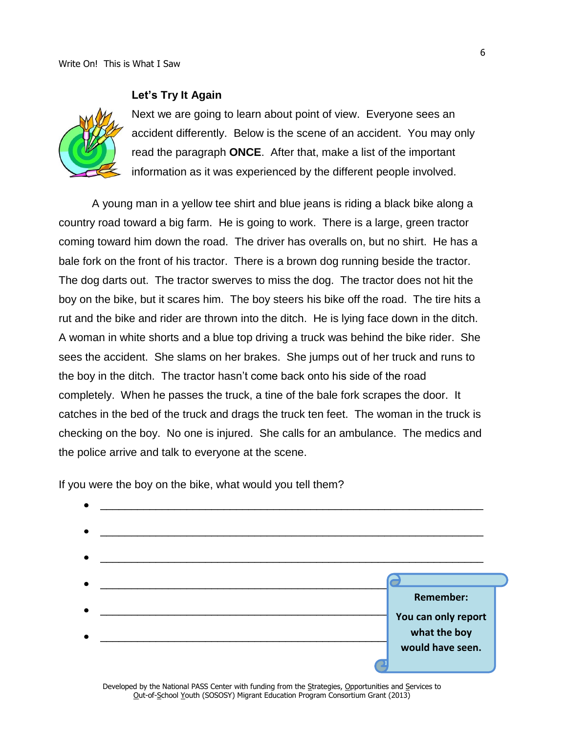#### **Let's Try It Again**



Next we are going to learn about point of view. Everyone sees an accident differently. Below is the scene of an accident. You may only read the paragraph **ONCE**. After that, make a list of the important information as it was experienced by the different people involved.

A young man in a yellow tee shirt and blue jeans is riding a black bike along a country road toward a big farm. He is going to work. There is a large, green tractor coming toward him down the road. The driver has overalls on, but no shirt. He has a bale fork on the front of his tractor. There is a brown dog running beside the tractor. The dog darts out. The tractor swerves to miss the dog. The tractor does not hit the boy on the bike, but it scares him. The boy steers his bike off the road. The tire hits a rut and the bike and rider are thrown into the ditch. He is lying face down in the ditch. A woman in white shorts and a blue top driving a truck was behind the bike rider. She sees the accident. She slams on her brakes. She jumps out of her truck and runs to the boy in the ditch. The tractor hasn't come back onto his side of the road completely. When he passes the truck, a tine of the bale fork scrapes the door. It catches in the bed of the truck and drags the truck ten feet. The woman in the truck is checking on the boy. No one is injured. She calls for an ambulance. The medics and the police arrive and talk to everyone at the scene.

If you were the boy on the bike, what would you tell them?



Developed by the National PASS Center with funding from the Strategies, Opportunities and Services to Out-of-School Youth (SOSOSY) Migrant Education Program Consortium Grant (2013)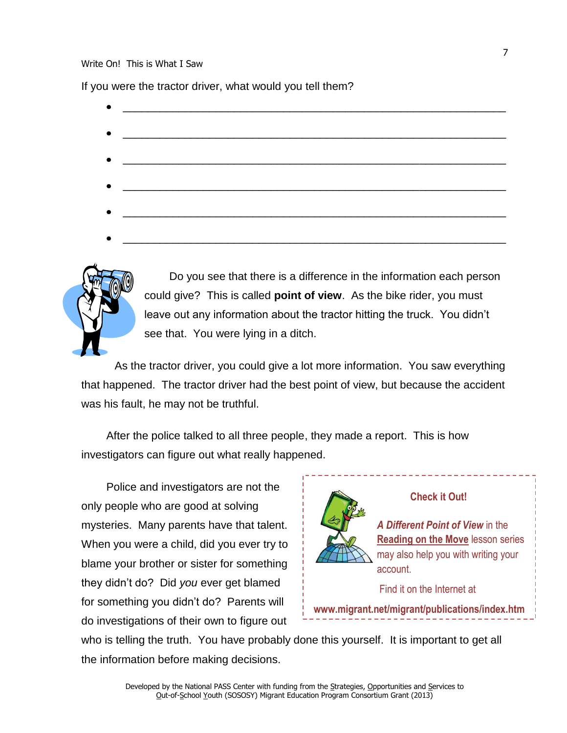#### Write On! This is What I Saw

If you were the tractor driver, what would you tell them?

- \_\_\_\_\_\_\_\_\_\_\_\_\_\_\_\_\_\_\_\_\_\_\_\_\_\_\_\_\_\_\_\_\_\_\_\_\_\_\_\_\_\_\_\_\_\_\_\_\_\_\_\_\_\_\_\_\_\_\_\_\_\_ \_\_\_\_\_\_\_\_\_\_\_\_\_\_\_\_\_\_\_\_\_\_\_\_\_\_\_\_\_\_\_\_\_\_\_\_\_\_\_\_\_\_\_\_\_\_\_\_\_\_\_\_\_\_\_\_\_\_\_\_\_\_ \_\_\_\_\_\_\_\_\_\_\_\_\_\_\_\_\_\_\_\_\_\_\_\_\_\_\_\_\_\_\_\_\_\_\_\_\_\_\_\_\_\_\_\_\_\_\_\_\_\_\_\_\_\_\_\_\_\_\_\_\_\_ \_\_\_\_\_\_\_\_\_\_\_\_\_\_\_\_\_\_\_\_\_\_\_\_\_\_\_\_\_\_\_\_\_\_\_\_\_\_\_\_\_\_\_\_\_\_\_\_\_\_\_\_\_\_\_\_\_\_\_\_\_\_ \_\_\_\_\_\_\_\_\_\_\_\_\_\_\_\_\_\_\_\_\_\_\_\_\_\_\_\_\_\_\_\_\_\_\_\_\_\_\_\_\_\_\_\_\_\_\_\_\_\_\_\_\_\_\_\_\_\_\_\_\_\_
- \_\_\_\_\_\_\_\_\_\_\_\_\_\_\_\_\_\_\_\_\_\_\_\_\_\_\_\_\_\_\_\_\_\_\_\_\_\_\_\_\_\_\_\_\_\_\_\_\_\_\_\_\_\_\_\_\_\_\_\_\_\_



Do you see that there is a difference in the information each person could give? This is called **point of view**. As the bike rider, you must leave out any information about the tractor hitting the truck. You didn't see that. You were lying in a ditch.

As the tractor driver, you could give a lot more information. You saw everything that happened. The tractor driver had the best point of view, but because the accident was his fault, he may not be truthful.

After the police talked to all three people, they made a report. This is how investigators can figure out what really happened.

Police and investigators are not the only people who are good at solving mysteries. Many parents have that talent. When you were a child, did you ever try to blame your brother or sister for something they didn't do? Did *you* ever get blamed for something you didn't do? Parents will do investigations of their own to figure out



**Check it Out!**

*A Different Point of View* in the **Reading on the Move** lesson series may also help you with writing your account.

#### Find it on the Internet at

**www.migrant.net/migrant/publications/index.htm**

who is telling the truth. You have probably done this yourself. It is important to get all the information before making decisions.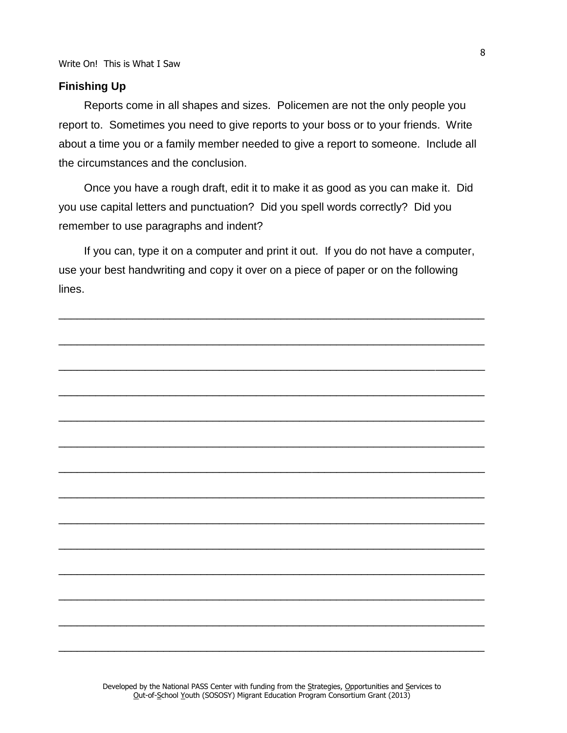#### **Finishing Up**

Reports come in all shapes and sizes. Policemen are not the only people you report to. Sometimes you need to give reports to your boss or to your friends. Write about a time you or a family member needed to give a report to someone. Include all the circumstances and the conclusion.

Once you have a rough draft, edit it to make it as good as you can make it. Did you use capital letters and punctuation? Did you spell words correctly? Did you remember to use paragraphs and indent?

If you can, type it on a computer and print it out. If you do not have a computer, use your best handwriting and copy it over on a piece of paper or on the following lines.

\_\_\_\_\_\_\_\_\_\_\_\_\_\_\_\_\_\_\_\_\_\_\_\_\_\_\_\_\_\_\_\_\_\_\_\_\_\_\_\_\_\_\_\_\_\_\_\_\_\_\_\_\_\_\_\_\_\_\_\_\_\_\_\_\_\_\_\_\_



Developed by the National PASS Center with funding from the Strategies, Opportunities and Services to Out-of-School Youth (SOSOSY) Migrant Education Program Consortium Grant (2013)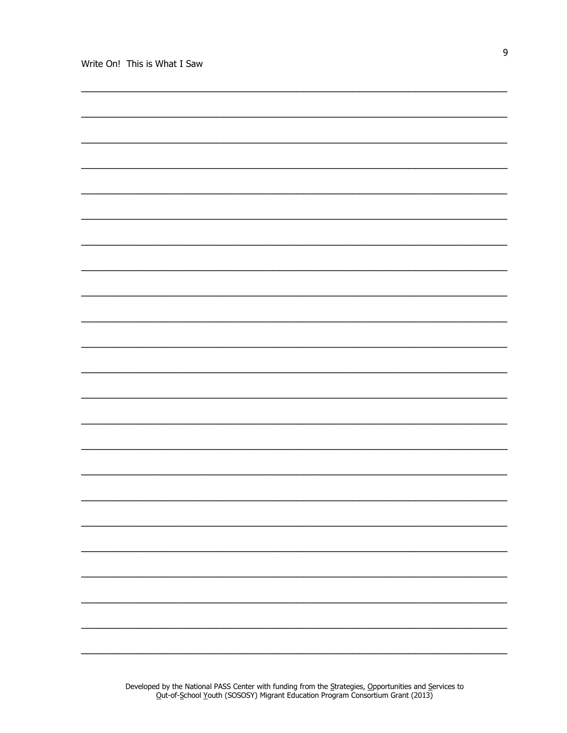$\overline{9}$